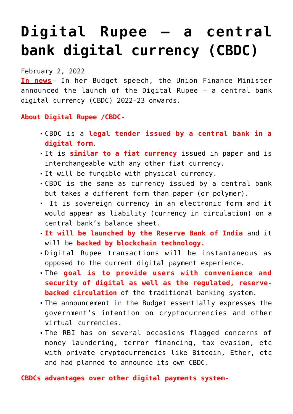## **[Digital Rupee — a central](https://journalsofindia.com/digital-rupee-a-central-bank-digital-currency-cbdc/) [bank digital currency \(CBDC\)](https://journalsofindia.com/digital-rupee-a-central-bank-digital-currency-cbdc/)**

February 2, 2022

**In news**– In her Budget speech, the Union Finance Minister announced the launch of the Digital Rupee — a central bank digital currency (CBDC) 2022-23 onwards.

**About Digital Rupee /CBDC-**

- CBDC is a **legal tender issued by a central bank in a digital form**.
- It is **similar to a fiat currency** issued in paper and is interchangeable with any other fiat currency.
- It will be fungible with physical currency.
- CBDC is the same as currency issued by a central bank but takes a different form than paper (or polymer).
- It is sovereign currency in an electronic form and it would appear as liability (currency in circulation) on a central bank's balance sheet.
- **It will be launched by the Reserve Bank of India** and it will be **backed by blockchain technology.**
- Digital Rupee transactions will be instantaneous as opposed to the current digital payment experience.
- The **goal is to provide users with convenience and security of digital as well as the regulated, reservebacked circulation** of the traditional banking system.
- The announcement in the Budget essentially expresses the government's intention on cryptocurrencies and other virtual currencies.
- The RBI has on several occasions flagged concerns of money laundering, terror financing, tax evasion, etc with private cryptocurrencies like Bitcoin, Ether, etc and had planned to announce its own CBDC.

**CBDCs advantages over other digital payments system-**